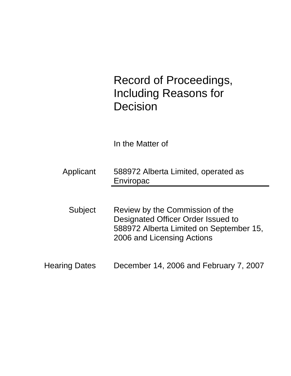Record of Proceedings, Including Reasons for Decision

In the Matter of

Applicant 588972 Alberta Limited, operated as Enviropac

Subject Review by the Commission of the Designated Officer Order Issued to 588972 Alberta Limited on September 15, 2006 and Licensing Actions

Hearing Dates December 14, 2006 and February 7, 2007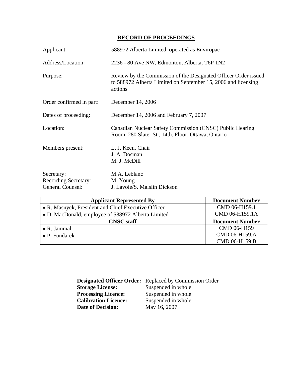## **RECORD OF PROCEEDINGS**

| Applicant:                                                           | 588972 Alberta Limited, operated as Enviropac                                                                                               |
|----------------------------------------------------------------------|---------------------------------------------------------------------------------------------------------------------------------------------|
| Address/Location:                                                    | 2236 - 80 Ave NW, Edmonton, Alberta, T6P 1N2                                                                                                |
| Purpose:                                                             | Review by the Commission of the Designated Officer Order issued<br>to 588972 Alberta Limited on September 15, 2006 and licensing<br>actions |
| Order confirmed in part:                                             | December 14, 2006                                                                                                                           |
| Dates of proceeding:                                                 | December 14, 2006 and February 7, 2007                                                                                                      |
| Location:                                                            | Canadian Nuclear Safety Commission (CNSC) Public Hearing<br>Room, 280 Slater St., 14th. Floor, Ottawa, Ontario                              |
| Members present:                                                     | L. J. Keen, Chair<br>J. A. Dosman<br>M. J. McDill                                                                                           |
| Secretary:<br><b>Recording Secretary:</b><br><b>General Counsel:</b> | M.A. Leblanc<br>M. Young<br>J. Lavoie/S. Maislin Dickson                                                                                    |

| <b>Applicant Represented By</b>                     | <b>Document Number</b> |
|-----------------------------------------------------|------------------------|
| • R. Masnyck, President and Chief Executive Officer | CMD 06-H159.1          |
| • D. MacDonald, employee of 588972 Alberta Limited  | CMD 06-H159.1A         |
| <b>CNSC</b> staff                                   | <b>Document Number</b> |
| $\bullet$ R. Jammal                                 | CMD 06-H159            |
| $\bullet$ P. Fundarek                               | CMD 06-H159.A          |
|                                                     | CMD 06-H159.B          |

|                             | <b>Designated Officer Order:</b> Replaced by Commission Order |
|-----------------------------|---------------------------------------------------------------|
| <b>Storage License:</b>     | Suspended in whole                                            |
| <b>Processing Licence:</b>  | Suspended in whole                                            |
| <b>Calibration Licence:</b> | Suspended in whole                                            |
| <b>Date of Decision:</b>    | May 16, 2007                                                  |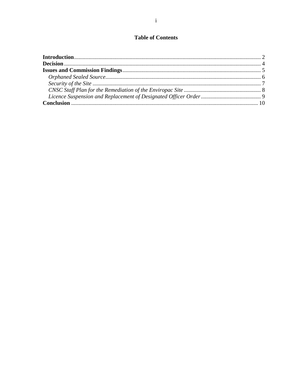# **Table of Contents**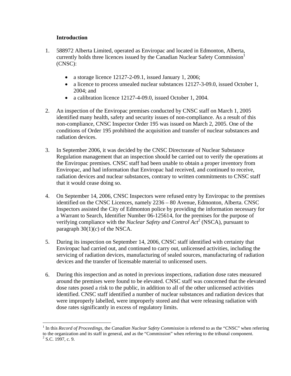## **Introduction**

 $\overline{a}$ 

- 1. 588972 Alberta Limited, operated as Enviropac and located in Edmonton, Alberta, currently holds three licences issued by the Canadian Nuclear Safety Commission<sup>1</sup> (CNSC):
	- a storage licence 12127-2-09.1, issued January 1, 2006;
	- a licence to process unsealed nuclear substances 12127-3-09.0, issued October 1, 2004; and
	- a calibration licence 12127-4-09.0, issued October 1, 2004.
- 2. An inspection of the Enviropac premises conducted by CNSC staff on March 1, 2005 identified many health, safety and security issues of non-compliance. As a result of this non-compliance, CNSC Inspector Order 195 was issued on March 2, 2005. One of the conditions of Order 195 prohibited the acquisition and transfer of nuclear substances and radiation devices.
- 3. In September 2006, it was decided by the CNSC Directorate of Nuclear Substance Regulation management that an inspection should be carried out to verify the operations at the Enviropac premises. CNSC staff had been unable to obtain a proper inventory from Enviropac, and had information that Enviropac had received, and continued to receive, radiation devices and nuclear substances, contrary to written commitments to CNSC staff that it would cease doing so.
- 4. On September 14, 2006, CNSC Inspectors were refused entry by Enviropac to the premises identified on the CNSC Licences, namely 2236 – 80 Avenue, Edmonton, Alberta. CNSC Inspectors assisted the City of Edmonton police by providing the information necessary for a Warrant to Search, Identifier Number 06-125614, for the premises for the purpose of verifying compliance with the *Nuclear Safety and Control Act*<sup>2</sup> (NSCA), pursuant to paragraph  $30(1)(c)$  of the NSCA.
- 5. During its inspection on September 14, 2006, CNSC staff identified with certainty that Enviropac had carried out, and continued to carry out, unlicensed activities, including the servicing of radiation devices, manufacturing of sealed sources, manufacturing of radiation devices and the transfer of licensable material to unlicensed users.
- 6. During this inspection and as noted in previous inspections, radiation dose rates measured around the premises were found to be elevated. CNSC staff was concerned that the elevated dose rates posed a risk to the public, in addition to all of the other unlicensed activities identified. CNSC staff identified a number of nuclear substances and radiation devices that were improperly labelled, were improperly stored and that were releasing radiation with dose rates significantly in excess of regulatory limits.

<sup>&</sup>lt;sup>1</sup> In this *Record of Proceedings, the Canadian Nuclear Safety Commission* is referred to as the "CNSC" when referring to the organization and its staff in general, and as the "Commission" when referring to the tribunal component. 2  $2$  S.C. 1997, c. 9.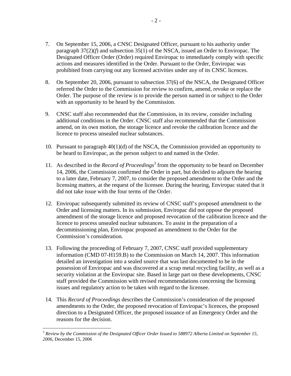- 7. On September 15, 2006, a CNSC Designated Officer, pursuant to his authority under paragraph 37(2)(*f*) and subsection 35(1) of the NSCA, issued an Order to Enviropac. The Designated Officer Order (Order) required Enviropac to immediately comply with specific actions and measures identified in the Order. Pursuant to the Order, Enviropac was prohibited from carrying out any licensed activities under any of its CNSC licences.
- 8. On September 20, 2006, pursuant to subsection 37(6) of the NSCA, the Designated Officer referred the Order to the Commission for review to confirm, amend, revoke or replace the Order. The purpose of the review is to provide the person named in or subject to the Order with an opportunity to be heard by the Commission.
- 9. CNSC staff also recommended that the Commission, in its review, consider including additional conditions in the Order. CNSC staff also recommended that the Commission amend, on its own motion, the storage licence and revoke the calibration licence and the licence to process unsealed nuclear substances.
- 10. Pursuant to paragraph 40(1)(d) of the NSCA, the Commission provided an opportunity to be heard to Enviropac, as the person subject to and named in the Order.
- 11. As described in the *Record of Proceedings*<sup>3</sup> from the opportunity to be heard on December 14, 2006, the Commission confirmed the Order in part, but decided to adjourn the hearing to a later date, February 7, 2007, to consider the proposed amendment to the Order and the licensing matters, at the request of the licensee. During the hearing, Enviropac stated that it did not take issue with the four terms of the Order.
- 12. Enviropac subsequently submitted its review of CNSC staff's proposed amendment to the Order and licensing matters. In its submission, Enviropac did not oppose the proposed amendment of the storage licence and proposed revocation of the calibration licence and the licence to process unsealed nuclear substances. To assist in the preparation of a decommissioning plan, Enviropac proposed an amendment to the Order for the Commission's consideration.
- 13. Following the proceeding of February 7, 2007, CNSC staff provided supplementary information (CMD 07-H159.B) to the Commission on March 14, 2007. This information detailed an investigation into a sealed source that was last documented to be in the possession of Enviropac and was discovered at a scrap metal recycling facility, as well as a security violation at the Enviropac site. Based in large part on these developments, CNSC staff provided the Commission with revised recommendations concerning the licensing issues and regulatory action to be taken with regard to the licensee.
- 14. This *Record of Proceedings* describes the Commission's consideration of the proposed amendments to the Order, the proposed revocation of Enviropac's licences, the proposed direction to a Designated Officer, the proposed issuance of an Emergency Order and the reasons for the decision.

 $\overline{a}$ 

<sup>3</sup> *Review by the Commission of the Designated Officer Order Issued to 588972 Alberta Limited on September 15, 2006*, December 15, 2006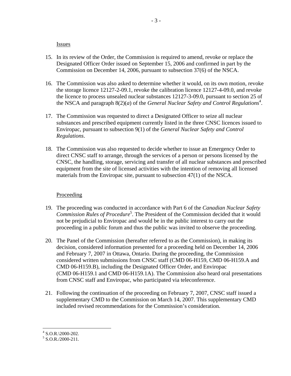#### Issues

- 15. In its review of the Order, the Commission is required to amend, revoke or replace the Designated Officer Order issued on September 15, 2006 and confirmed in part by the Commission on December 14, 2006, pursuant to subsection 37(6) of the NSCA.
- 16. The Commission was also asked to determine whether it would, on its own motion, revoke the storage licence 12127-2-09.1, revoke the calibration licence 12127-4-09.0, and revoke the licence to process unsealed nuclear substances 12127-3-09.0, pursuant to section 25 of the NSCA and paragraph 8(2)(*a*) of the *General Nuclear Safety and Control Regulations*<sup>4</sup>.
- 17. The Commission was requested to direct a Designated Officer to seize all nuclear substances and prescribed equipment currently listed in the three CNSC licences issued to Enviropac, pursuant to subsection 9(1) of the *General Nuclear Safety and Control Regulations*.
- 18. The Commission was also requested to decide whether to issue an Emergency Order to direct CNSC staff to arrange, through the services of a person or persons licensed by the CNSC, the handling, storage, servicing and transfer of all nuclear substances and prescribed equipment from the site of licensed activities with the intention of removing all licensed materials from the Enviropac site, pursuant to subsection 47(1) of the NSCA.

## Proceeding

- 19. The proceeding was conducted in accordance with Part 6 of the *Canadian Nuclear Safety*  Commission Rules of Procedure<sup>5</sup>. The President of the Commission decided that it would not be prejudicial to Enviropac and would be in the public interest to carry out the proceeding in a public forum and thus the public was invited to observe the proceeding.
- 20. The Panel of the Commission (hereafter referred to as the Commission), in making its decision, considered information presented for a proceeding held on December 14, 2006 and February 7, 2007 in Ottawa, Ontario. During the proceeding, the Commission considered written submissions from CNSC staff (CMD 06-H159, CMD 06-H159.A and CMD 06-H159.B), including the Designated Officer Order, and Enviropac (CMD 06-H159.1 and CMD 06-H159.1A). The Commission also heard oral presentations from CNSC staff and Enviropac, who participated via teleconference.
- 21. Following the continuation of the proceeding on February 7, 2007, CNSC staff issued a supplementary CMD to the Commission on March 14, 2007. This supplementary CMD included revised recommendations for the Commission's consideration.

 $4$  S.O.R.\2000-202.

 $5$  S.O.R./2000-211.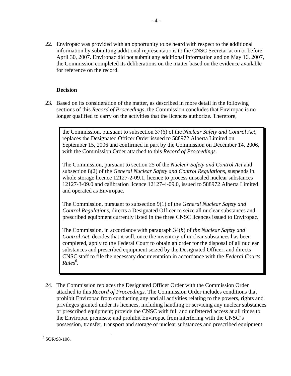22. Enviropac was provided with an opportunity to be heard with respect to the additional information by submitting additional representations to the CNSC Secretariat on or before April 30, 2007. Enviropac did not submit any additional information and on May 16, 2007, the Commission completed its deliberations on the matter based on the evidence available for reference on the record.

## **Decision**

23. Based on its consideration of the matter, as described in more detail in the following sections of this *Record of Proceedings*, the Commission concludes that Enviropac is no longer qualified to carry on the activities that the licences authorize. Therefore,

the Commission, pursuant to subsection 37(6) of the *Nuclear Safety and Control Act*, replaces the Designated Officer Order issued to 588972 Alberta Limited on September 15, 2006 and confirmed in part by the Commission on December 14, 2006, with the Commission Order attached to this *Record of Proceedings*.

The Commission, pursuant to section 25 of the *Nuclear Safety and Control Act* and subsection 8(2) of the *General Nuclear Safety and Control Regulations*, suspends in whole storage licence 12127-2-09.1, licence to process unsealed nuclear substances 12127-3-09.0 and calibration licence 12127-4-09.0, issued to 588972 Alberta Limited and operated as Enviropac.

The Commission, pursuant to subsection 9(1) of the *General Nuclear Safety and Control Regulations*, directs a Designated Officer to seize all nuclear substances and prescribed equipment currently listed in the three CNSC licences issued to Enviropac.

The Commission, in accordance with paragraph 34(*b*) of *the Nuclear Safety and Control Act*, decides that it will, once the inventory of nuclear substances has been completed, apply to the Federal Court to obtain an order for the disposal of all nuclear substances and prescribed equipment seized by the Designated Officer, and directs CNSC staff to file the necessary documentation in accordance with the *Federal Courts*  Rules<sup>6</sup>.

24. The Commission replaces the Designated Officer Order with the Commission Order attached to this *Record of Proceedings*. The Commission Order includes conditions that prohibit Enviropac from conducting any and all activities relating to the powers, rights and privileges granted under its licences, including handling or servicing any nuclear substances or prescribed equipment; provide the CNSC with full and unfettered access at all times to the Enviropac premises; and prohibit Enviropac from interfering with the CNSC's possession, transfer, transport and storage of nuclear substances and prescribed equipment

 $\overline{a}$ 6 SOR/98-106.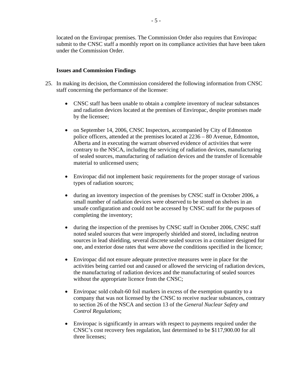located on the Enviropac premises. The Commission Order also requires that Enviropac submit to the CNSC staff a monthly report on its compliance activities that have been taken under the Commission Order.

## **Issues and Commission Findings**

- 25. In making its decision, the Commission considered the following information from CNSC staff concerning the performance of the licensee:
	- CNSC staff has been unable to obtain a complete inventory of nuclear substances and radiation devices located at the premises of Enviropac, despite promises made by the licensee;
	- on September 14, 2006, CNSC Inspectors, accompanied by City of Edmonton police officers, attended at the premises located at 2236 – 80 Avenue, Edmonton, Alberta and in executing the warrant observed evidence of activities that were contrary to the NSCA, including the servicing of radiation devices, manufacturing of sealed sources, manufacturing of radiation devices and the transfer of licensable material to unlicensed users;
	- Enviropac did not implement basic requirements for the proper storage of various types of radiation sources;
	- during an inventory inspection of the premises by CNSC staff in October 2006, a small number of radiation devices were observed to be stored on shelves in an unsafe configuration and could not be accessed by CNSC staff for the purposes of completing the inventory;
	- during the inspection of the premises by CNSC staff in October 2006, CNSC staff noted sealed sources that were improperly shielded and stored, including neutron sources in lead shielding, several discrete sealed sources in a container designed for one, and exterior dose rates that were above the conditions specified in the licence;
	- Enviropac did not ensure adequate protective measures were in place for the activities being carried out and caused or allowed the servicing of radiation devices, the manufacturing of radiation devices and the manufacturing of sealed sources without the appropriate licence from the CNSC;
	- Enviropac sold cobalt-60 foil markers in excess of the exemption quantity to a company that was not licensed by the CNSC to receive nuclear substances, contrary to section 26 of the NSCA and section 13 of the *General Nuclear Safety and Control Regulations*;
	- Enviropac is significantly in arrears with respect to payments required under the CNSC's cost recovery fees regulation, last determined to be \$117,900.00 for all three licenses;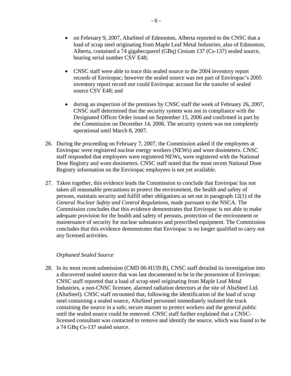- on February 9, 2007, AltaSteel of Edmonton, Alberta reported to the CNSC that a load of scrap steel originating from Maple Leaf Metal Industries, also of Edmonton, Alberta, contained a 74 gigabecquerel (GBq) Cesium 137 (Cs-137) sealed source, bearing serial number CSV E48;
- CNSC staff were able to trace this sealed source to the 2004 inventory report records of Enviropac; however the sealed source was not part of Enviropac's 2005 inventory report record nor could Enviropac account for the transfer of sealed source CSV E48; and
- during an inspection of the premises by CNSC staff the week of February 26, 2007, CNSC staff determined that the security system was not in compliance with the Designated Officer Order issued on September 15, 2006 and confirmed in part by the Commission on December 14, 2006. The security system was not completely operational until March 8, 2007.
- 26. During the proceeding on February 7, 2007, the Commission asked if the employees at Enviropac were registered nuclear energy workers (NEWs) and wore dosimeters. CNSC staff responded that employees were registered NEWs, were registered with the National Dose Registry and wore dosimeters. CNSC staff noted that the most recent National Dose Registry information on the Enviropac employees is not yet available.
- 27. Taken together, this evidence leads the Commission to conclude that Enviropac has not taken all reasonable precautions to protect the environment, the health and safety of persons, maintain security and fulfill other obligations as set out in paragraph 12(1) of the *General Nuclear Safety and Control Regulations*, made pursuant to the NSCA. The Commission concludes that this evidence demonstrates that Enviropac is not able to make adequate provision for the health and safety of persons, protection of the environment or maintenance of security for nuclear substances and prescribed equipment. The Commission concludes that this evidence demonstrates that Enviropac is no longer qualified to carry out any licensed activities.

#### *Orphaned Sealed Source*

28. In its most recent submission (CMD 06-H159.B), CNSC staff detailed its investigation into a discovered sealed source that was last documented to be in the possession of Enviropac. CNSC staff reported that a load of scrap steel originating from Maple Leaf Metal Industries, a non-CNSC licensee, alarmed radiation detectors at the site of AltaSteel Ltd. (AltaSteel). CNSC staff recounted that, following the identification of the load of scrap steel containing a sealed source, AltaSteel personnel immediately isolated the truck containing the source in a safe, secure manner to protect workers and the general public until the sealed source could be removed. CNSC staff further explained that a CNSClicensed consultant was contacted to remove and identify the source, which was found to be a 74 GBq Cs-137 sealed source.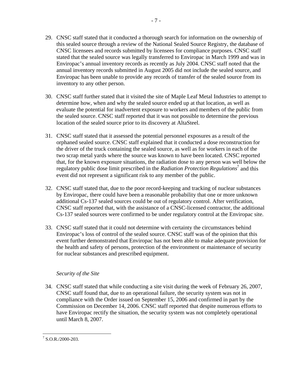- 29. CNSC staff stated that it conducted a thorough search for information on the ownership of this sealed source through a review of the National Sealed Source Registry, the database of CNSC licensees and records submitted by licensees for compliance purposes. CNSC staff stated that the sealed source was legally transferred to Enviropac in March 1999 and was in Enviropac's annual inventory records as recently as July 2004. CNSC staff noted that the annual inventory records submitted in August 2005 did not include the sealed source, and Enviropac has been unable to provide any records of transfer of the sealed source from its inventory to any other person.
- 30. CNSC staff further stated that it visited the site of Maple Leaf Metal Industries to attempt to determine how, when and why the sealed source ended up at that location, as well as evaluate the potential for inadvertent exposure to workers and members of the public from the sealed source. CNSC staff reported that it was not possible to determine the previous location of the sealed source prior to its discovery at AltaSteel.
- 31. CNSC staff stated that it assessed the potential personnel exposures as a result of the orphaned sealed source. CNSC staff explained that it conducted a dose reconstruction for the driver of the truck containing the sealed source, as well as for workers in each of the two scrap metal yards where the source was known to have been located. CNSC reported that, for the known exposure situations, the radiation dose to any person was well below the regulatory public dose limit prescribed in the *Radiation Protection Regulations*<sup>7</sup> and this event did not represent a significant risk to any member of the public.
- 32. CNSC staff stated that, due to the poor record-keeping and tracking of nuclear substances by Enviropac, there could have been a reasonable probability that one or more unknown additional Cs-137 sealed sources could be out of regulatory control. After verification, CNSC staff reported that, with the assistance of a CNSC-licensed contractor, the additional Cs-137 sealed sources were confirmed to be under regulatory control at the Enviropac site.
- 33. CNSC staff stated that it could not determine with certainty the circumstances behind Enviropac's loss of control of the sealed source. CNSC staff was of the opinion that this event further demonstrated that Enviropac has not been able to make adequate provision for the health and safety of persons, protection of the environment or maintenance of security for nuclear substances and prescribed equipment.

## *Security of the Site*

34. CNSC staff stated that while conducting a site visit during the week of February 26, 2007, CNSC staff found that, due to an operational failure, the security system was not in compliance with the Order issued on September 15, 2006 and confirmed in part by the Commission on December 14, 2006. CNSC staff reported that despite numerous efforts to have Enviropac rectify the situation, the security system was not completely operational until March 8, 2007.

<sup>&</sup>lt;u>.</u>  $17$  S.O.R./2000-203.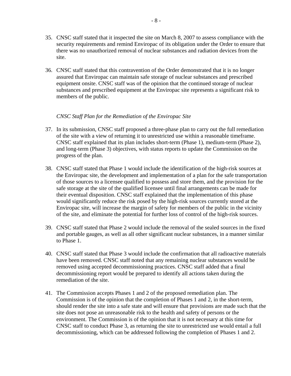- 35. CNSC staff stated that it inspected the site on March 8, 2007 to assess compliance with the security requirements and remind Enviropac of its obligation under the Order to ensure that there was no unauthorized removal of nuclear substances and radiation devices from the site.
- 36. CNSC staff stated that this contravention of the Order demonstrated that it is no longer assured that Enviropac can maintain safe storage of nuclear substances and prescribed equipment onsite. CNSC staff was of the opinion that the continued storage of nuclear substances and prescribed equipment at the Enviropac site represents a significant risk to members of the public.

#### *CNSC Staff Plan for the Remediation of the Enviropac Site*

- 37. In its submission, CNSC staff proposed a three-phase plan to carry out the full remediation of the site with a view of returning it to unrestricted use within a reasonable timeframe. CNSC staff explained that its plan includes short-term (Phase 1), medium-term (Phase 2), and long-term (Phase 3) objectives, with status reports to update the Commission on the progress of the plan.
- 38. CNSC staff stated that Phase 1 would include the identification of the high-risk sources at the Enviropac site, the development and implementation of a plan for the safe transportation of those sources to a licensee qualified to possess and store them, and the provision for the safe storage at the site of the qualified licensee until final arrangements can be made for their eventual disposition. CNSC staff explained that the implementation of this phase would significantly reduce the risk posed by the high-risk sources currently stored at the Enviropac site, will increase the margin of safety for members of the public in the vicinity of the site, and eliminate the potential for further loss of control of the high-risk sources.
- 39. CNSC staff stated that Phase 2 would include the removal of the sealed sources in the fixed and portable gauges, as well as all other significant nuclear substances, in a manner similar to Phase 1.
- 40. CNSC staff stated that Phase 3 would include the confirmation that all radioactive materials have been removed. CNSC staff noted that any remaining nuclear substances would be removed using accepted decommissioning practices. CNSC staff added that a final decommissioning report would be prepared to identify all actions taken during the remediation of the site.
- 41. The Commission accepts Phases 1 and 2 of the proposed remediation plan. The Commission is of the opinion that the completion of Phases 1 and 2, in the short-term, should render the site into a safe state and will ensure that provisions are made such that the site does not pose an unreasonable risk to the health and safety of persons or the environment. The Commission is of the opinion that it is not necessary at this time for CNSC staff to conduct Phase 3, as returning the site to unrestricted use would entail a full decommissioning, which can be addressed following the completion of Phases 1 and 2.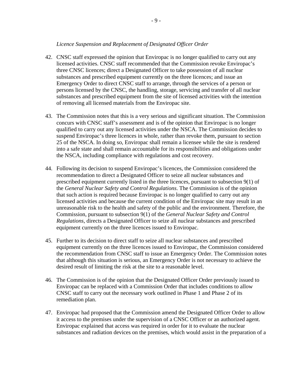## *Licence Suspension and Replacement of Designated Officer Order*

- 42. CNSC staff expressed the opinion that Enviropac is no longer qualified to carry out any licensed activities. CNSC staff recommended that the Commission revoke Enviropac's three CNSC licences; direct a Designated Officer to take possession of all nuclear substances and prescribed equipment currently on the three licences; and issue an Emergency Order to direct CNSC staff to arrange, through the services of a person or persons licensed by the CNSC, the handling, storage, servicing and transfer of all nuclear substances and prescribed equipment from the site of licensed activities with the intention of removing all licensed materials from the Enviropac site.
- 43. The Commission notes that this is a very serious and significant situation. The Commission concurs with CNSC staff's assessment and is of the opinion that Enviropac is no longer qualified to carry out any licensed activities under the NSCA. The Commission decides to suspend Enviropac's three licences in whole, rather than revoke them, pursuant to section 25 of the NSCA. In doing so, Enviropac shall remain a licensee while the site is rendered into a safe state and shall remain accountable for its responsibilities and obligations under the NSCA, including compliance with regulations and cost recovery.
- 44. Following its decision to suspend Enviropac's licences, the Commission considered the recommendation to direct a Designated Officer to seize all nuclear substances and prescribed equipment currently listed in the three licences, pursuant to subsection 9(1) of the *General Nuclear Safety and Control Regulations*. The Commission is of the opinion that such action is required because Enviropac is no longer qualified to carry out any licensed activities and because the current condition of the Enviropac site may result in an unreasonable risk to the health and safety of the public and the environment. Therefore, the Commission, pursuant to subsection 9(1) of the *General Nuclear Safety and Control Regulations*, directs a Designated Officer to seize all nuclear substances and prescribed equipment currently on the three licences issued to Enviropac.
- 45. Further to its decision to direct staff to seize all nuclear substances and prescribed equipment currently on the three licences issued to Enviropac, the Commission considered the recommendation from CNSC staff to issue an Emergency Order. The Commission notes that although this situation is serious, an Emergency Order is not necessary to achieve the desired result of limiting the risk at the site to a reasonable level.
- 46. The Commission is of the opinion that the Designated Officer Order previously issued to Enviropac can be replaced with a Commission Order that includes conditions to allow CNSC staff to carry out the necessary work outlined in Phase 1 and Phase 2 of its remediation plan.
- 47. Enviropac had proposed that the Commission amend the Designated Officer Order to allow it access to the premises under the supervision of a CNSC Officer or an authorized agent. Enviropac explained that access was required in order for it to evaluate the nuclear substances and radiation devices on the premises, which would assist in the preparation of a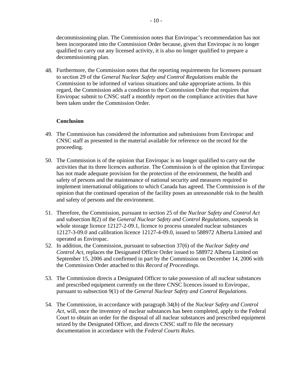decommissioning plan. The Commission notes that Enviropac's recommendation has not been incorporated into the Commission Order because, given that Enviropac is no longer qualified to carry out any licensed activity, it is also no longer qualified to prepare a decommissioning plan.

48. Furthermore, the Commission notes that the reporting requirements for licensees pursuant to section 29 of the *General Nuclear Safety and Control Regulations* enable the Commission to be informed of various situations and take appropriate actions. In this regard, the Commission adds a condition to the Commission Order that requires that Enviropac submit to CNSC staff a monthly report on the compliance activities that have been taken under the Commission Order.

## **Conclusion**

- 49. The Commission has considered the information and submissions from Enviropac and CNSC staff as presented in the material available for reference on the record for the proceeding.
- 50. The Commission is of the opinion that Enviropac is no longer qualified to carry out the activities that its three licences authorize. The Commission is of the opinion that Enviropac has not made adequate provision for the protection of the environment, the health and safety of persons and the maintenance of national security and measures required to implement international obligations to which Canada has agreed. The Commission is of the opinion that the continued operation of the facility poses an unreasonable risk to the health and safety of persons and the environment.
- 51. Therefore, the Commission, pursuant to section 25 of the *Nuclear Safety and Control Act* and subsection 8(2) of the *General Nuclear Safety and Control Regulations*, suspends in whole storage licence 12127-2-09.1, licence to process unsealed nuclear substances 12127-3-09.0 and calibration licence 12127-4-09.0, issued to 588972 Alberta Limited and operated as Enviropac.
- 52. In addition, the Commission, pursuant to subsection 37(6) of the *Nuclear Safety and Control Act*, replaces the Designated Officer Order issued to 588972 Alberta Limited on September 15, 2006 and confirmed in part by the Commission on December 14, 2006 with the Commission Order attached to this *Record of Proceedings*.
- 53. The Commission directs a Designated Officer to take possession of all nuclear substances and prescribed equipment currently on the three CNSC licences issued to Enviropac, pursuant to subsection 9(1) of the *General Nuclear Safety and Control Regulations*.
- 54. The Commission, in accordance with paragraph 34(*b*) of the *Nuclear Safety and Control Act*, will, once the inventory of nuclear substances has been completed, apply to the Federal Court to obtain an order for the disposal of all nuclear substances and prescribed equipment seized by the Designated Officer, and directs CNSC staff to file the necessary documentation in accordance with the *Federal Courts Rules*.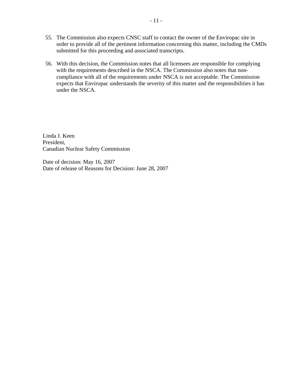- 55. The Commission also expects CNSC staff to contact the owner of the Enviropac site in order to provide all of the pertinent information concerning this matter, including the CMDs submitted for this proceeding and associated transcripts.
- 56. With this decision, the Commission notes that all licensees are responsible for complying with the requirements described in the NSCA. The Commission also notes that noncompliance with all of the requirements under NSCA is not acceptable. The Commission expects that Enviropac understands the severity of this matter and the responsibilities it has under the NSCA.

Linda J. Keen President, Canadian Nuclear Safety Commission

Date of decision: May 16, 2007 Date of release of Reasons for Decision: June 28, 2007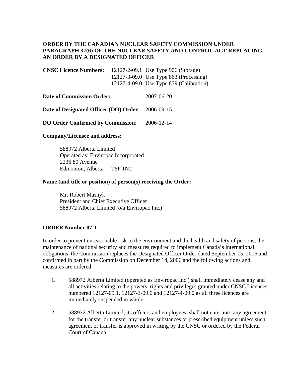## **ORDER BY THE CANADIAN NUCLEAR SAFETY COMMISSION UNDER PARAGRAPH 37(6) OF THE NUCLEAR SAFETY AND CONTROL ACT REPLACING AN ORDER BY A DESIGNATED OFFICER**

| <b>CNSC Licence Numbers:</b> | 12127-2-09.1 Use Type 906 (Storage)          |
|------------------------------|----------------------------------------------|
|                              | $12127 - 3 - 09.0$ Use Type 863 (Processing) |
|                              | 12127-4-09.0 Use Type $879$ (Calibration)    |

| <b>Date of Commission Order:</b>                  | 2007-06-20 |
|---------------------------------------------------|------------|
| Date of Designated Officer (DO) Order: 2006-09-15 |            |

**DO Order Confirmed by Commission**: 2006-12-14

## **Company/Licensee and address:**

 588972 Alberta Limited Operated as: Enviropac Incorporated 2236 80 Avenue Edmonton, Alberta T6P 1N2

#### **Name (and title or position) of person(s) receiving the Order:**

 Mr. Robert Masnyk President and Chief Executive Officer 588972 Alberta Limited (o/a Enviropac Inc.)

## **ORDER Number 07-1**

In order to prevent unreasonable risk to the environment and the health and safety of persons, the maintenance of national security and measures required to implement Canada's international obligations, the Commission replaces the Designated Officer Order dated September 15, 2006 and confirmed in part by the Commission on December 14, 2006 and the following actions and measures are ordered:

- 1. 588972 Alberta Limited (operated as Enviropac Inc.) shall immediately cease any and all activities relating to the powers, rights and privileges granted under CNSC Licences numbered 12127-09.1, 12127-3-09.0 and 12127-4-09.0 as all three licences are immediately suspended in whole.
- 2. 588972 Alberta Limited, its officers and employees, shall not enter into any agreement for the transfer or transfer any nuclear substances or prescribed equipment unless such agreement or transfer is approved in writing by the CNSC or ordered by the Federal Court of Canada.